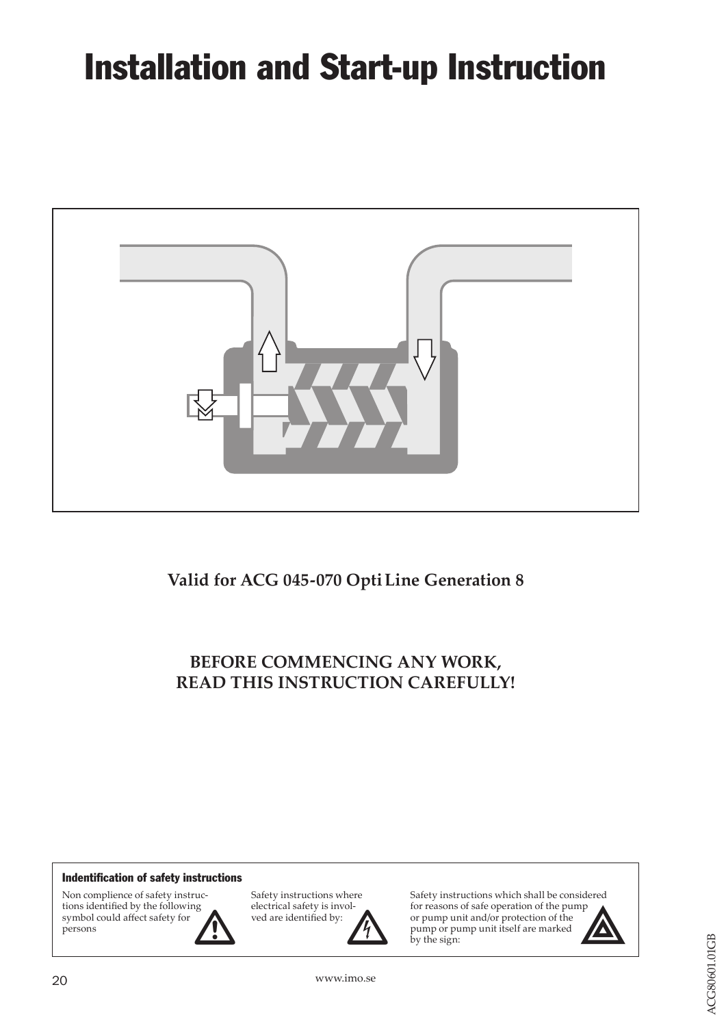# Installation and Start-up Instruction



**Valid for ACG 045-070 OptiLine Generation 8**

**BEFORE COMMENCING ANY WORK, READ THIS INSTRUCTION CAREFULLY!**

#### Indentification of safety instructions

Non complience of safety instructions identified by the following symbol could affect safety for persons



Safety instructions where electrical safety is involved are identified by:

Safety instructions which shall be considered for reasons of safe operation of the pump be checked and and the pump unit and/or protection of the pump verified by:<br>
wed are identified by:<br>
by the sign:



20 www.imo.se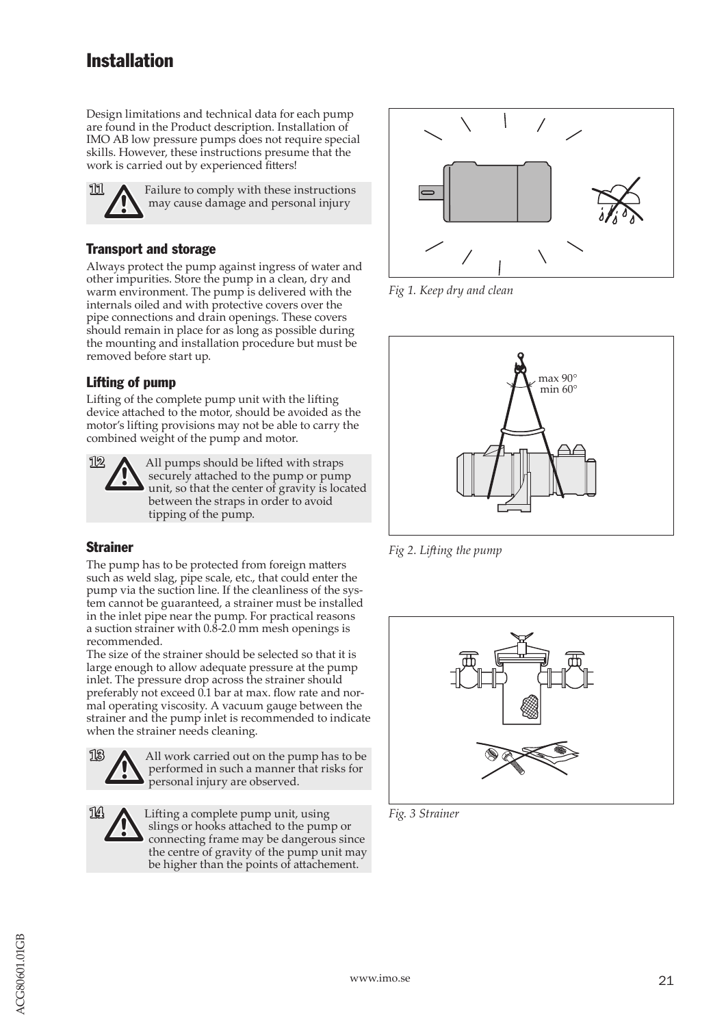## Installation

Design limitations and technical data for each pump are found in the Product description. Installation of IMO AB low pressure pumps does not require special skills. However, these instructions presume that the work is carried out by experienced fitters!



#### Transport and storage

Always protect the pump against ingress of water and other impurities. Store the pump in a clean, dry and warm environment. The pump is delivered with the internals oiled and with protective covers over the pipe connections and drain openings. These covers should remain in place for as long as possible during the mounting and installation procedure but must be removed before start up.

#### Lifting of pump

Lifting of the complete pump unit with the lifting device attached to the motor, should be avoided as the motor's lifting provisions may not be able to carry the combined weight of the pump and motor.



#### Strainer

The pump has to be protected from foreign matters such as weld slag, pipe scale, etc., that could enter the pump via the suction line. If the cleanliness of the system cannot be guaranteed, a strainer must be installed in the inlet pipe near the pump. For practical reasons a suction strainer with 0.8-2.0 mm mesh openings is recommended.

The size of the strainer should be selected so that it is large enough to allow adequate pressure at the pump inlet. The pressure drop across the strainer should preferably not exceed 0.1 bar at max. flow rate and normal operating viscosity. A vacuum gauge between the strainer and the pump inlet is recommended to indicate when the strainer needs cleaning.

**13** All work carried out on the pump has to be performed in such a manner that risks for personal injury are observed.

**14 Complete pump unit, using** slings or hooks attached to the pump or connecting frame may be dangerous since the centre of gravity of the pump unit may be higher than the points of attachement.



*Fig 1. Keep dry and clean*



*Fig 2. Lifting the pump*



*Fig. 3 Strainer*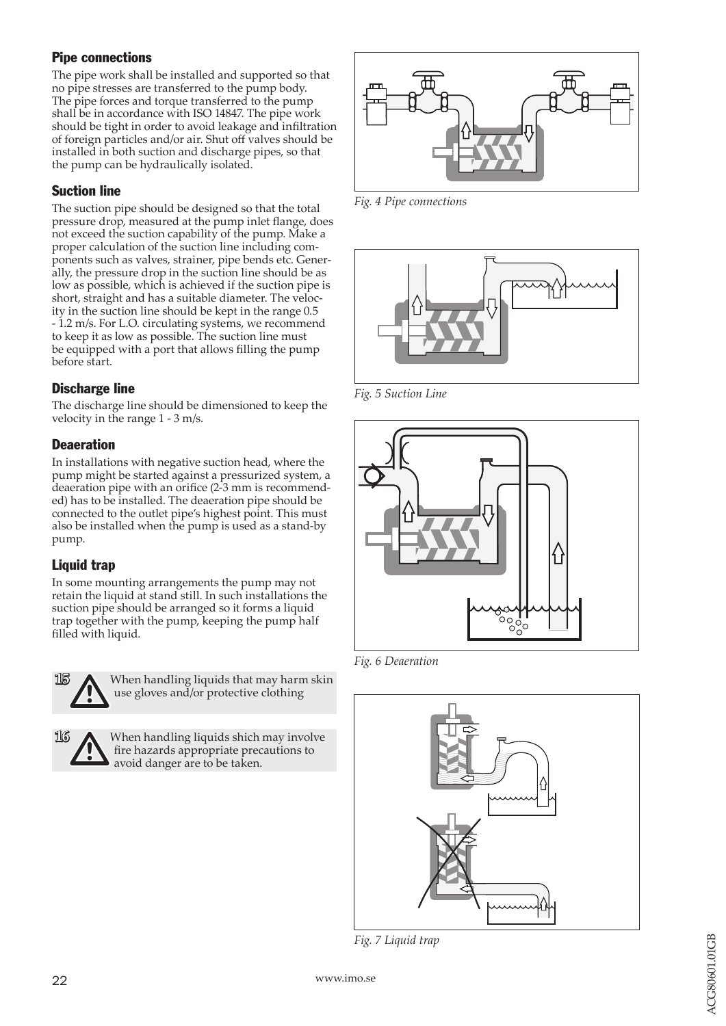#### Pipe connections

The pipe work shall be installed and supported so that no pipe stresses are transferred to the pump body. The pipe forces and torque transferred to the pump shall be in accordance with ISO 14847. The pipe work should be tight in order to avoid leakage and infiltration of foreign particles and/or air. Shut off valves should be installed in both suction and discharge pipes, so that the pump can be hydraulically isolated.

#### Suction line

The suction pipe should be designed so that the total pressure drop, measured at the pump inlet flange, does not exceed the suction capability of the pump. Make a proper calculation of the suction line including com ponents such as valves, strainer, pipe bends etc. Gener ally, the pressure drop in the suction line should be as low as possible, which is achieved if the suction pipe is short, straight and has a suitable diameter. The veloc ity in the suction line should be kept in the range 0.5 - 1.2 m/s. For L.O. circulating systems, we recommend to keep it as low as possible. The suction line must be equipped with a port that allows filling the pump before start.

#### Discharge line

The discharge line should be dimensioned to keep the velocity in the range 1 - 3 m/s.

#### **Deaeration**

In installations with negative suction head, where the pump might be started against a pressurized system, a deaeration pipe with an orifice (2-3 mm is recommend ed) has to be installed. The deaeration pipe should be connected to the outlet pipe's highest point. This must also be installed when the pump is used as a stand-by pump.

#### Liquid trap

In some mounting arrangements the pump may not retain the liquid at stand still. In such installations the suction pipe should be arranged so it forms a liquid trap together with the pump, keeping the pump half filled with liquid.



When handling liquids that may harm skin use gloves and/or protective clothing

When handling liquids shich may involve<br>fire hazards appropriate precautions to<br>avoid danger are to be taken. fire hazards appropriate precautions to avoid danger are to be taken.



*Fig. 4 Pipe connections*



*Fig. 5 Suction Line*



*Fig. 6 Deaeration*



*Fig. 7 Liquid trap*

**16**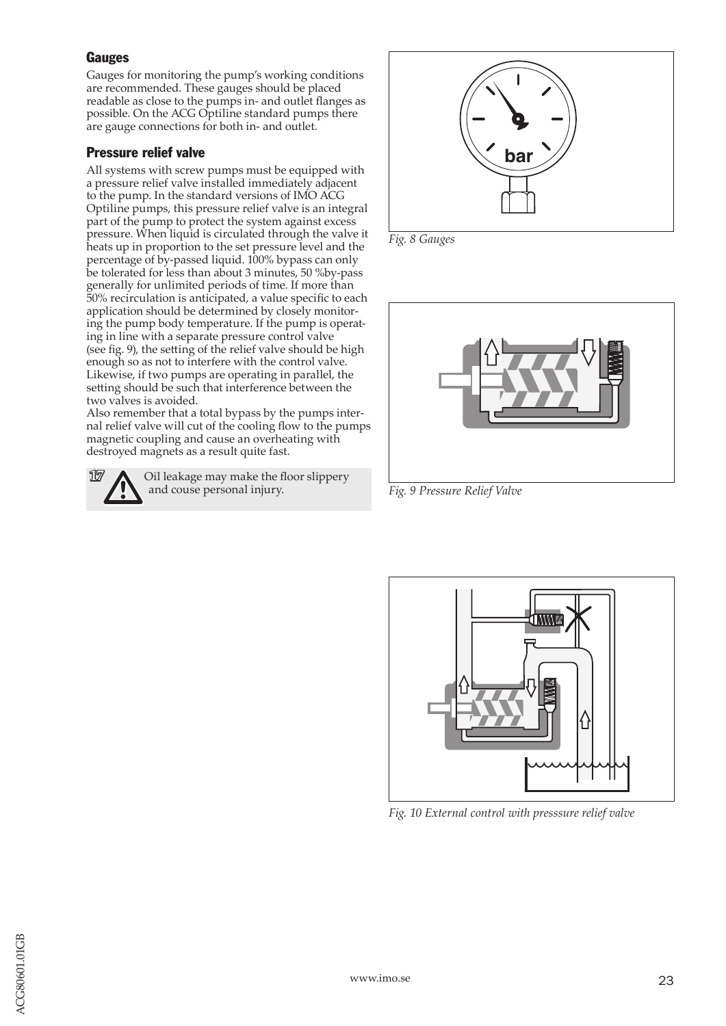#### **Gauges**

Gauges for monitoring the pump's working conditions are recommended. These gauges should be placed readable as close to the pumps in- and outlet flanges as possible. On the ACG Optiline standard pumps there are gauge connections for both in- and outlet.

#### Pressure relief valve

All systems with screw pumps must be equipped with a pressure relief valve installed immediately adjacent to the pump. In the standard versions of IMO ACG Optiline pumps, this pressure relief valve is an integral part of the pump to protect the system against excess pressure. When liquid is circulated through the valve it heats up in proportion to the set pressure level and the percentage of by-passed liquid. 100% bypass can only be tolerated for less than about 3 minutes, 50 %by-pass generally for unlimited periods of time. If more than 50% recirculation is anticipated, a value specific to each application should be determined by closely monitoring the pump body temperature. If the pump is operating in line with a separate pressure control valve (see fig. 9), the setting of the relief valve should be high enough so as not to interfere with the control valve. Likewise, if two pumps are operating in parallel, the setting should be such that interference between the two valves is avoided.

Also remember that a total bypass by the pumps internal relief valve will cut of the cooling flow to the pumps magnetic coupling and cause an overheating with destroyed magnets as a result quite fast.





*Fig. 8 Gauges*



*Fig. 9 Pressure Relief Valve*



*Fig. 10 External control with presssure relief valve*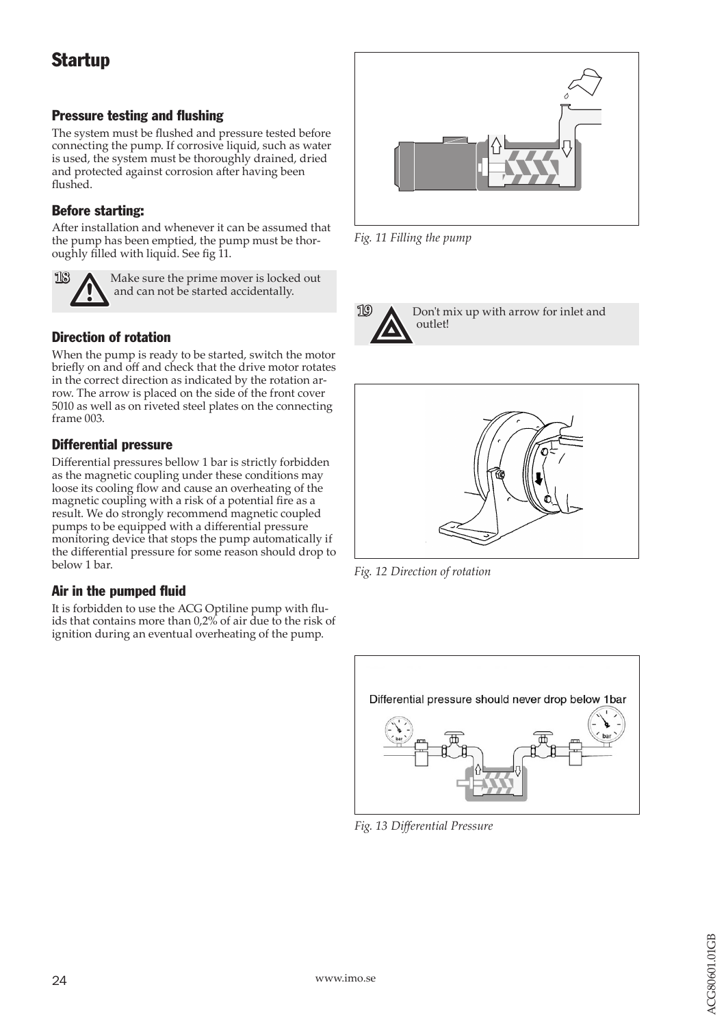## **Startup**

#### Pressure testing and flushing

The system must be flushed and pressure tested before connecting the pump. If corrosive liquid, such as water is used, the system must be thoroughly drained, dried and protected against corrosion after having been flushed.

#### Before starting:

After installation and whenever it can be assumed that the pump has been emptied, the pump must be thoroughly filled with liquid. See fig 11.



**18** Make sure the prime mover is locked out and can not be started accidentally.

#### Direction of rotation

When the pump is ready to be started, switch the motor briefly on and off and check that the drive motor rotates in the correct direction as indicated by the rotation arrow. The arrow is placed on the side of the front cover 5010 as well as on riveted steel plates on the connecting frame 003.

#### Differential pressure

Differential pressures bellow 1 bar is strictly forbidden as the magnetic coupling under these conditions may loose its cooling flow and cause an overheating of the magnetic coupling with a risk of a potential fire as a result. We do strongly recommend magnetic coupled pumps to be equipped with a differential pressure monitoring device that stops the pump automatically if the differential pressure for some reason should drop to below 1 bar.

#### Air in the pumped fluid

It is forbidden to use the ACG Optiline pump with fluids that contains more than 0,2% of air due to the risk of ignition during an eventual overheating of the pump.



*Fig. 11 Filling the pump*



**19 A** Don't mix up with arrow for inlet and outlet!



*Fig. 12 Direction of rotation*



*Fig. 13 Differential Pressure*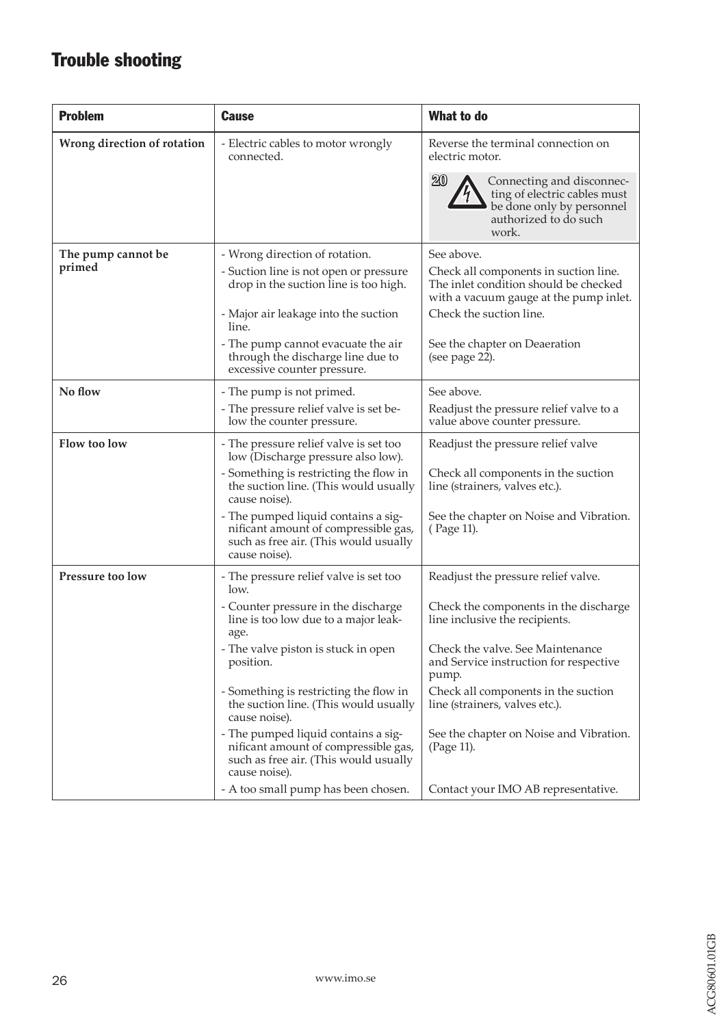# Trouble shooting

| <b>Problem</b>               | <b>Cause</b>                                                                                                                                                                                                                                                                                                                                                                                                                                                                  | What to do                                                                                                                                                                                                                                                                                                                                                                     |
|------------------------------|-------------------------------------------------------------------------------------------------------------------------------------------------------------------------------------------------------------------------------------------------------------------------------------------------------------------------------------------------------------------------------------------------------------------------------------------------------------------------------|--------------------------------------------------------------------------------------------------------------------------------------------------------------------------------------------------------------------------------------------------------------------------------------------------------------------------------------------------------------------------------|
| Wrong direction of rotation  | - Electric cables to motor wrongly<br>connected.                                                                                                                                                                                                                                                                                                                                                                                                                              | Reverse the terminal connection on<br>electric motor.<br>$20\,$<br>Connecting and disconnec-<br>ting of electric cables must<br>be done only by personnel<br>authorized to do such                                                                                                                                                                                             |
| The pump cannot be<br>primed | - Wrong direction of rotation.<br>- Suction line is not open or pressure<br>drop in the suction line is too high.<br>- Major air leakage into the suction<br>line.<br>- The pump cannot evacuate the air                                                                                                                                                                                                                                                                      | work.<br>See above.<br>Check all components in suction line.<br>The inlet condition should be checked<br>with a vacuum gauge at the pump inlet.<br>Check the suction line.<br>See the chapter on Deaeration                                                                                                                                                                    |
|                              | through the discharge line due to<br>excessive counter pressure.                                                                                                                                                                                                                                                                                                                                                                                                              | (see page 22).                                                                                                                                                                                                                                                                                                                                                                 |
| No flow                      | - The pump is not primed.<br>- The pressure relief valve is set be-<br>low the counter pressure.                                                                                                                                                                                                                                                                                                                                                                              | See above.<br>Readjust the pressure relief valve to a<br>value above counter pressure.                                                                                                                                                                                                                                                                                         |
| Flow too low                 | - The pressure relief valve is set too<br>low (Discharge pressure also low).<br>- Something is restricting the flow in<br>the suction line. (This would usually<br>cause noise).<br>- The pumped liquid contains a sig-<br>nificant amount of compressible gas,<br>such as free air. (This would usually<br>cause noise).                                                                                                                                                     | Readjust the pressure relief valve<br>Check all components in the suction<br>line (strainers, valves etc.).<br>See the chapter on Noise and Vibration.<br>(Page 11).                                                                                                                                                                                                           |
| Pressure too low             | - The pressure relief valve is set too<br>low.<br>- Counter pressure in the discharge<br>line is too low due to a major leak-<br>age.<br>- The valve piston is stuck in open<br>position.<br>- Something is restricting the flow in<br>the suction line. (This would usually<br>cause noise).<br>- The pumped liquid contains a sig-<br>nificant amount of compressible gas,<br>such as free air. (This would usually<br>cause noise).<br>- A too small pump has been chosen. | Readjust the pressure relief valve.<br>Check the components in the discharge<br>line inclusive the recipients.<br>Check the valve. See Maintenance<br>and Service instruction for respective<br>pump.<br>Check all components in the suction<br>line (strainers, valves etc.).<br>See the chapter on Noise and Vibration.<br>(Page 11).<br>Contact your IMO AB representative. |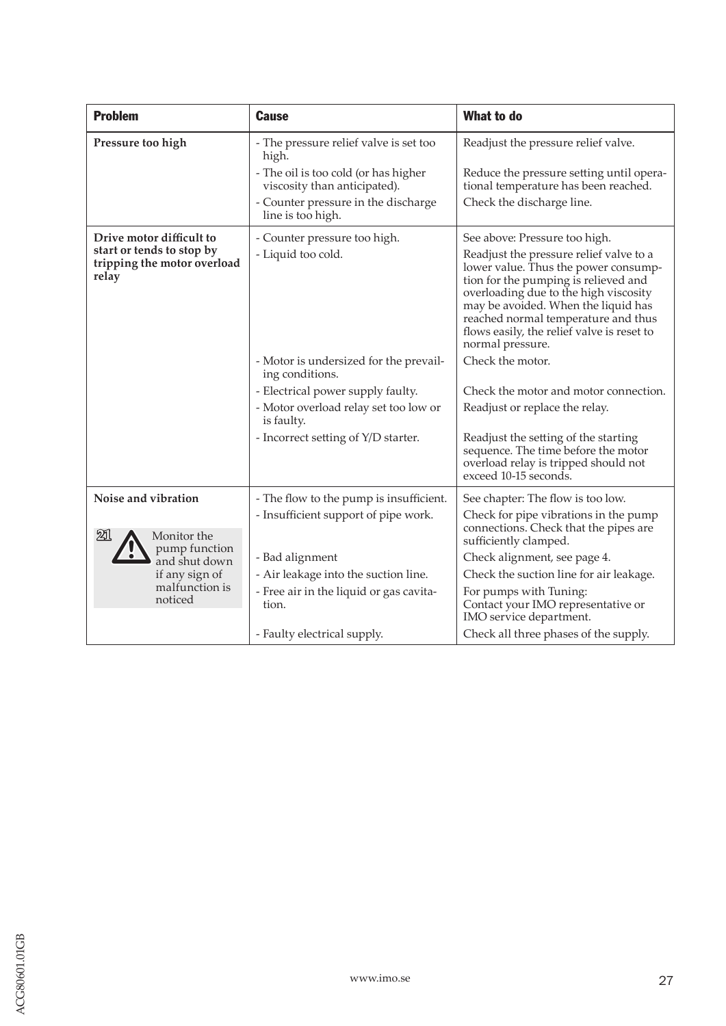| <b>Problem</b>                                                                                | <b>Cause</b>                                                         | <b>What to do</b>                                                                                                                                                                                                                                                                                                                                 |
|-----------------------------------------------------------------------------------------------|----------------------------------------------------------------------|---------------------------------------------------------------------------------------------------------------------------------------------------------------------------------------------------------------------------------------------------------------------------------------------------------------------------------------------------|
| Pressure too high                                                                             | - The pressure relief valve is set too<br>high.                      | Readjust the pressure relief valve.                                                                                                                                                                                                                                                                                                               |
|                                                                                               | - The oil is too cold (or has higher<br>viscosity than anticipated). | Reduce the pressure setting until opera-<br>tional temperature has been reached.                                                                                                                                                                                                                                                                  |
|                                                                                               | - Counter pressure in the discharge<br>line is too high.             | Check the discharge line.                                                                                                                                                                                                                                                                                                                         |
| Drive motor difficult to<br>start or tends to stop by<br>tripping the motor overload<br>relay | - Counter pressure too high.<br>- Liquid too cold.                   | See above: Pressure too high.<br>Readjust the pressure relief valve to a<br>lower value. Thus the power consump-<br>tion for the pumping is relieved and<br>overloading due to the high viscosity<br>may be avoided. When the liquid has<br>reached normal temperature and thus<br>flows easily, the relief valve is reset to<br>normal pressure. |
|                                                                                               | - Motor is undersized for the prevail-<br>ing conditions.            | Check the motor.                                                                                                                                                                                                                                                                                                                                  |
|                                                                                               | - Electrical power supply faulty.                                    | Check the motor and motor connection.                                                                                                                                                                                                                                                                                                             |
|                                                                                               | - Motor overload relay set too low or<br>is faulty.                  | Readjust or replace the relay.                                                                                                                                                                                                                                                                                                                    |
|                                                                                               | - Incorrect setting of Y/D starter.                                  | Readjust the setting of the starting<br>sequence. The time before the motor<br>overload relay is tripped should not<br>exceed 10-15 seconds.                                                                                                                                                                                                      |
| Noise and vibration                                                                           | - The flow to the pump is insufficient.                              | See chapter: The flow is too low.                                                                                                                                                                                                                                                                                                                 |
|                                                                                               | - Insufficient support of pipe work.                                 | Check for pipe vibrations in the pump                                                                                                                                                                                                                                                                                                             |
| 21<br>Monitor the                                                                             |                                                                      | connections. Check that the pipes are<br>sufficiently clamped.                                                                                                                                                                                                                                                                                    |
| pump function<br>and shut down                                                                | - Bad alignment                                                      | Check alignment, see page 4.                                                                                                                                                                                                                                                                                                                      |
| if any sign of                                                                                | - Air leakage into the suction line.                                 | Check the suction line for air leakage.                                                                                                                                                                                                                                                                                                           |
| malfunction is<br>noticed                                                                     | - Free air in the liquid or gas cavita-<br>tion.                     | For pumps with Tuning:<br>Contact your IMO representative or<br>IMO service department.                                                                                                                                                                                                                                                           |
|                                                                                               | - Faulty electrical supply.                                          | Check all three phases of the supply.                                                                                                                                                                                                                                                                                                             |